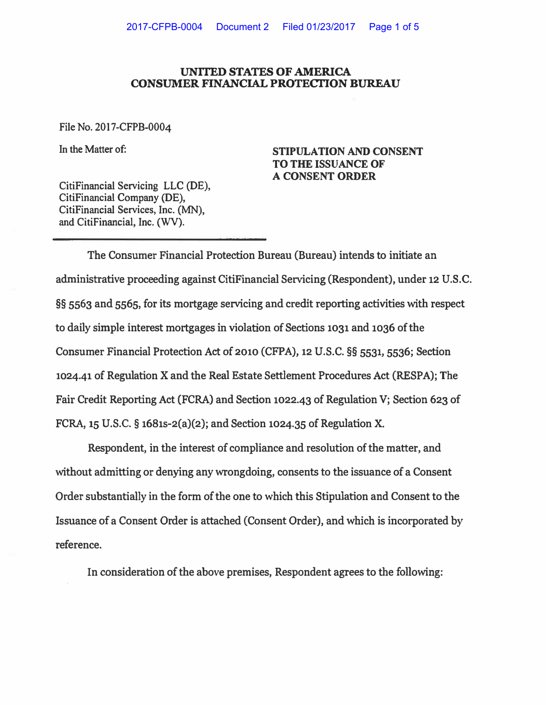## **UNITED STATES OF AMERICA CONSUMER FINANCIAL PROTECTION BUREAU**

**File No. 2017-CFPB-0004** 

**In the Matter of:** 

**STIPULATION AND CONSENT TO THE ISSUANCE OF A CONSENT ORDER** 

**CitiFinancial Servicing LLC (DE), CitiFinancial Company (DE), CitiFinancial Services, Inc. (MN), and CitiFinancial, Inc. (WV).** 

**The Consumer Financial Protection Bureau (Bureau) intends to initiate an administrative proceeding against CitiFinancial Servicing (Respondent), under 12 U.S.C. §§ 5563 and 5565, for its mortgage servicing and credit reporting activities with respect to daily simple interest mortgages in violation of Sections 1031 and 1036 of the Consumer Financial Protection Act of 2010 (CFPA), 12 U.S.C. §§ 5531, 5536; Section**  1024.41 of Regulation X and the Real Estate Settlement Procedures Act (RESPA); The **Fair Credit Reporting Act (FCRA) and Section 1022.43 of Regulation V; Section 623 of FCRA, 15 U.S.C. § 1681s-2(a)(2); and Section 1024.35 of Regulation X.** 

**Respondent, in the interest of compliance and resolution of the matter, and without admitting or denying any wrongdoing, consents to the issuance of a Consent Order substantially in the form of the one to which this Stipulation and Consent to the Issuance of a Consent Order is attached (Consent Order), and which is incorporated by reference.** 

**In consideration of the above premises, Respondent agrees to the following:**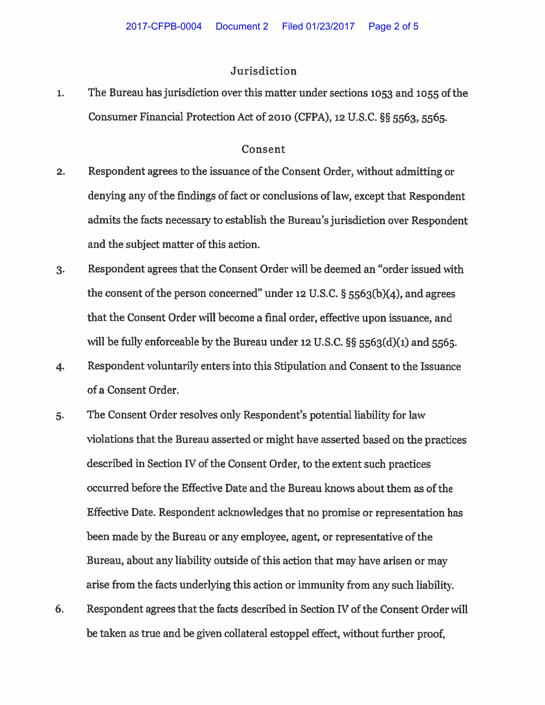## Jurisdiction

 $\mathbf{1}$ . The Bureau has jurisdiction over this matter under sections 1053 and 1055 of the Consumer Financial Protection Act of 2010 (CFPA), 12 U.S.C. §§ 5563, 5565.

## Consent

- Respondent agrees to the issuance of the Consent Order, without admitting or  $2.$ denying any of the findings of fact or conclusions of law, except that Respondent admits the facts necessary to establish the Bureau's jurisdiction over Respondent and the subject matter of this action.
- Respondent agrees that the Consent Order will be deemed an "order issued with  $3.$ the consent of the person concerned" under 12 U.S.C.  $\S$  5563(b)(4), and agrees that the Consent Order will become a final order, effective upon issuance, and will be fully enforceable by the Bureau under 12 U.S.C.  $\S$ § 5563(d)(1) and 5565.
- Respondent voluntarily enters into this Stipulation and Consent to the Issuance  $4.$ of a Consent Order.
- The Consent Order resolves only Respondent's potential liability for law 5. violations that the Bureau asserted or might have asserted based on the practices described in Section IV of the Consent Order, to the extent such practices occurred before the Effective Date and the Bureau knows about them as of the Effective Date. Respondent acknowledges that no promise or representation has been made by the Bureau or any employee, agent, or representative of the Bureau, about any liability outside of this action that may have arisen or may arise from the facts underlying this action or immunity from any such liability.
- Respondent agrees that the facts described in Section IV of the Consent Order will 6. be taken as true and be given collateral estoppel effect, without further proof,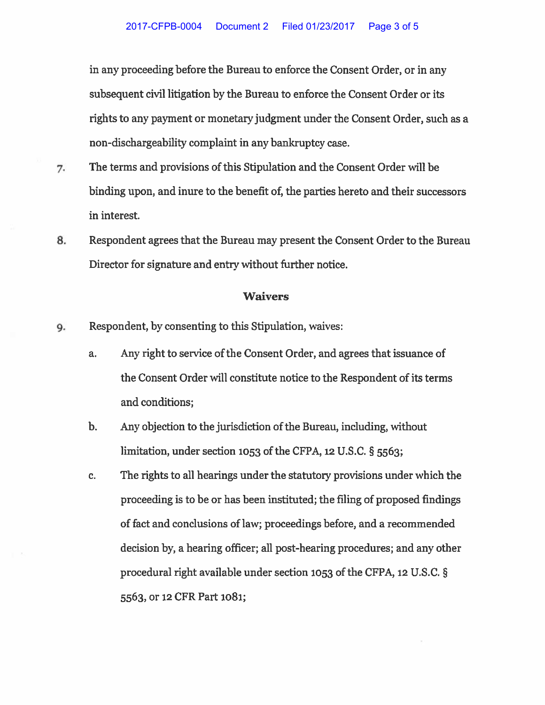in any proceeding before the Bureau to enforce the Consent Order, or in any subsequent civil litigation by the Bureau to enforce the Consent Order or its rights to any payment or monetary judgment under the Consent Order, such as a non-dischargeability complaint in any bankruptcy case.

- 7. The terms and provisions of this Stipulation and the Consent Order will be binding upon, and inure to the benefit of, the parties hereto and their successors in interest.
- 8. Respondent agrees that the Bureau may present the Consent Order to the Bureau Director for signature and entry without further notice.

## **Waivers**

- Respondent, by consenting to this Stipulation, waives: 9.
	- Any right to service of the Consent Order, and agrees that issuance of a. the Consent Order will constitute notice to the Respondent of its terms and conditions;
	- $<sub>b</sub>$ .</sub> Any objection to the jurisdiction of the Bureau, including, without limitation, under section 1053 of the CFPA, 12 U.S.C. § 5563;
	- The rights to all hearings under the statutory provisions under which the c. proceeding is to be or has been instituted; the filing of proposed findings of fact and conclusions of law; proceedings before, and a recommended decision by, a hearing officer; all post-hearing procedures; and any other procedural right available under section 1053 of the CFPA, 12 U.S.C. § 5563, or 12 CFR Part 1081;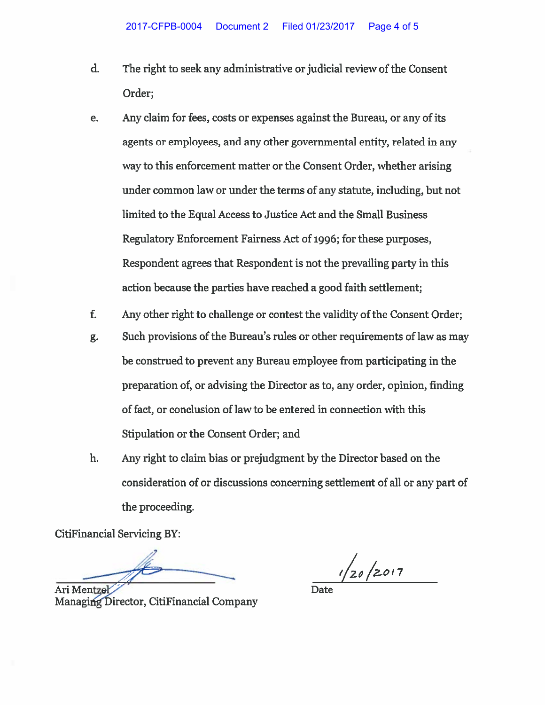- $\mathbf{d}$ . The right to seek any administrative or judicial review of the Consent Order;
- Any claim for fees, costs or expenses against the Bureau, or any of its e. agents or employees, and any other governmental entity, related in any way to this enforcement matter or the Consent Order, whether arising under common law or under the terms of any statute, including, but not limited to the Equal Access to Justice Act and the Small Business Regulatory Enforcement Fairness Act of 1996; for these purposes, Respondent agrees that Respondent is not the prevailing party in this action because the parties have reached a good faith settlement;
- $f<sub>r</sub>$ Any other right to challenge or contest the validity of the Consent Order:
- Such provisions of the Bureau's rules or other requirements of law as may g. be construed to prevent any Bureau employee from participating in the preparation of, or advising the Director as to, any order, opinion, finding of fact, or conclusion of law to be entered in connection with this Stipulation or the Consent Order; and
- h. Any right to claim bias or prejudgment by the Director based on the consideration of or discussions concerning settlement of all or any part of the proceeding.

**CitiFinancial Servicing BY:** 

Ari Mentze

Managing Director, CitiFinancial Company

 $1/20/2017$